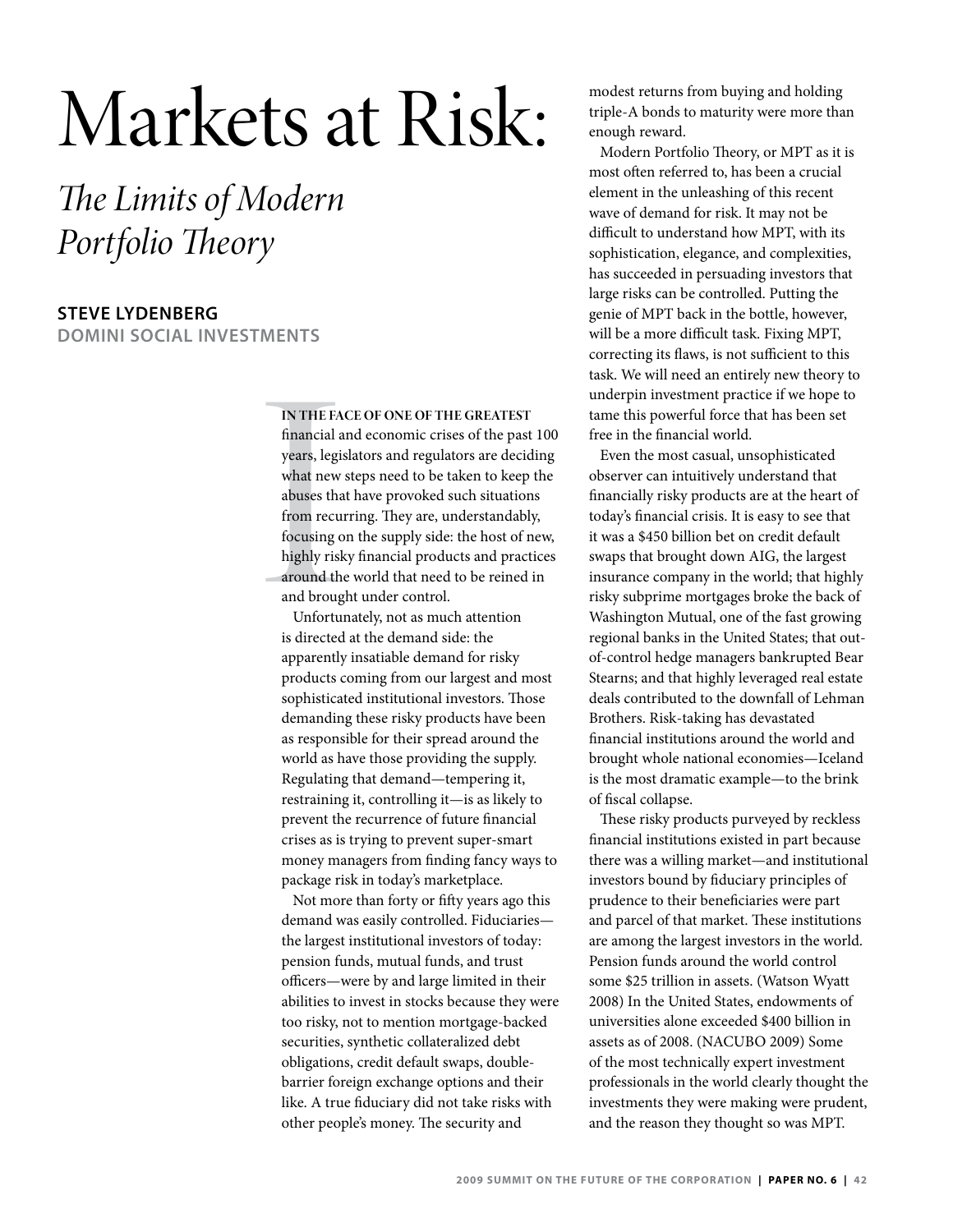# Markets at Risk:

*The Limits of Modern Portfolio Theory*

# **Steve Lydenberg**

**Domini Social Investments**

### **In the face of one of the greatest**

IN THE FA<br>financial a<br>years, legis<br>what new<br>abuses that<br>from recu:<br>focusing o<br>highly risk<br>around the<br>and broug<br>Unfortu:<br>is directed financial and economic crises of the past 100 years, legislators and regulators are deciding what new steps need to be taken to keep the abuses that have provoked such situations from recurring. They are, understandably, focusing on the supply side: the host of new, highly risky financial products and practices around the world that need to be reined in and brought under control.

Unfortunately, not as much attention is directed at the demand side: the apparently insatiable demand for risky products coming from our largest and most sophisticated institutional investors. Those demanding these risky products have been as responsible for their spread around the world as have those providing the supply. Regulating that demand—tempering it, restraining it, controlling it—is as likely to prevent the recurrence of future financial crises as is trying to prevent super-smart money managers from finding fancy ways to package risk in today's marketplace.

Not more than forty or fifty years ago this demand was easily controlled. Fiduciaries the largest institutional investors of today: pension funds, mutual funds, and trust officers—were by and large limited in their abilities to invest in stocks because they were too risky, not to mention mortgage-backed securities, synthetic collateralized debt obligations, credit default swaps, doublebarrier foreign exchange options and their like. A true fiduciary did not take risks with other people's money. The security and

modest returns from buying and holding triple-A bonds to maturity were more than enough reward.

Modern Portfolio Theory, or MPT as it is most often referred to, has been a crucial element in the unleashing of this recent wave of demand for risk. It may not be difficult to understand how MPT, with its sophistication, elegance, and complexities, has succeeded in persuading investors that large risks can be controlled. Putting the genie of MPT back in the bottle, however, will be a more difficult task. Fixing MPT, correcting its flaws, is not sufficient to this task. We will need an entirely new theory to underpin investment practice if we hope to tame this powerful force that has been set free in the financial world.

Even the most casual, unsophisticated observer can intuitively understand that financially risky products are at the heart of today's financial crisis. It is easy to see that it was a \$450 billion bet on credit default swaps that brought down AIG, the largest insurance company in the world; that highly risky subprime mortgages broke the back of Washington Mutual, one of the fast growing regional banks in the United States; that outof-control hedge managers bankrupted Bear Stearns; and that highly leveraged real estate deals contributed to the downfall of Lehman Brothers. Risk-taking has devastated financial institutions around the world and brought whole national economies—Iceland is the most dramatic example—to the brink of fiscal collapse.

These risky products purveyed by reckless financial institutions existed in part because there was a willing market—and institutional investors bound by fiduciary principles of prudence to their beneficiaries were part and parcel of that market. These institutions are among the largest investors in the world. Pension funds around the world control some \$25 trillion in assets. (Watson Wyatt 2008) In the United States, endowments of universities alone exceeded \$400 billion in assets as of 2008. (NACUBO 2009) Some of the most technically expert investment professionals in the world clearly thought the investments they were making were prudent, and the reason they thought so was MPT.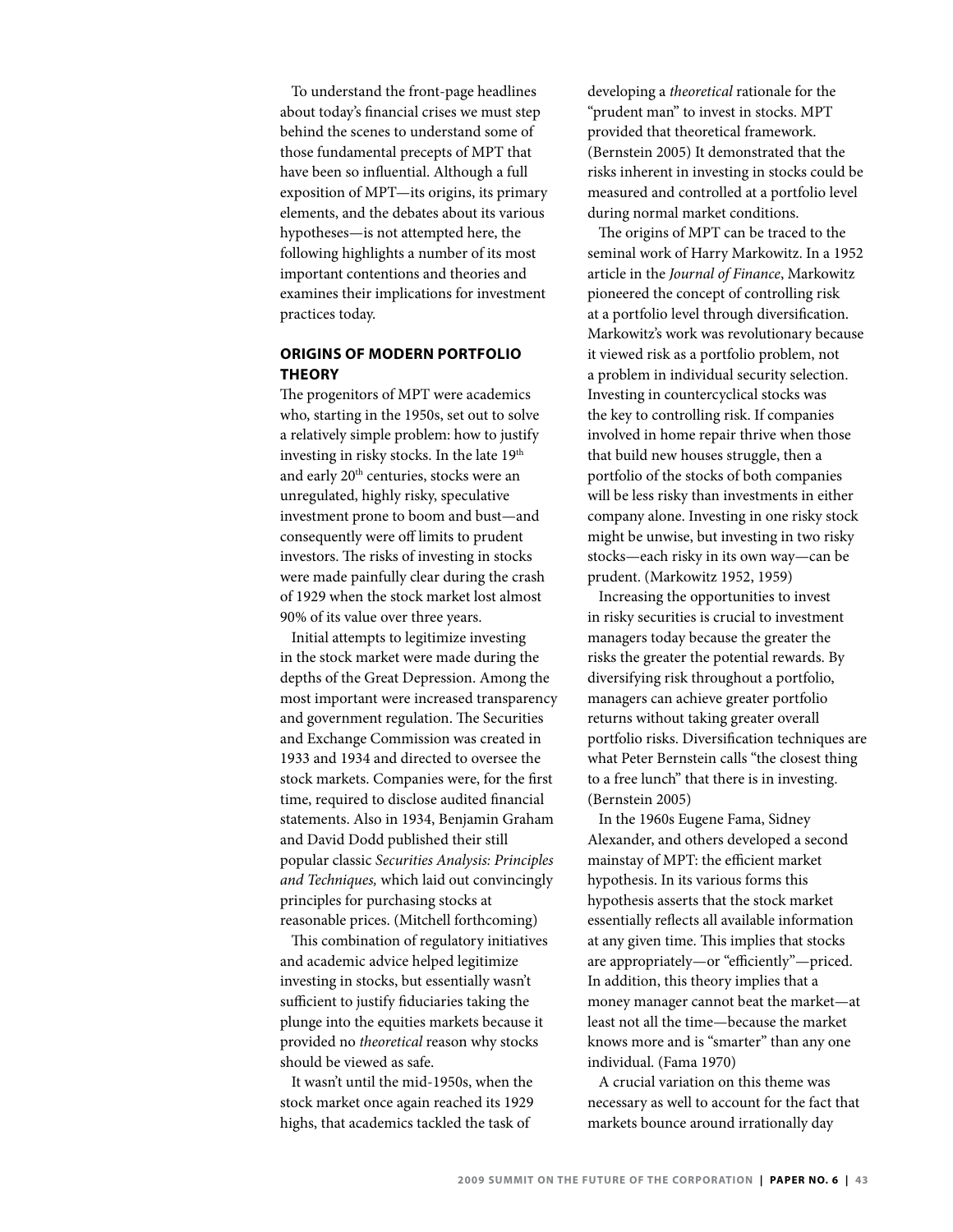To understand the front-page headlines about today's financial crises we must step behind the scenes to understand some of those fundamental precepts of MPT that have been so influential. Although a full exposition of MPT—its origins, its primary elements, and the debates about its various hypotheses—is not attempted here, the following highlights a number of its most important contentions and theories and examines their implications for investment practices today.

# **Origins of Modern Portfolio Theory**

The progenitors of MPT were academics who, starting in the 1950s, set out to solve a relatively simple problem: how to justify investing in risky stocks. In the late 19<sup>th</sup> and early 20<sup>th</sup> centuries, stocks were an unregulated, highly risky, speculative investment prone to boom and bust—and consequently were off limits to prudent investors. The risks of investing in stocks were made painfully clear during the crash of 1929 when the stock market lost almost 90% of its value over three years.

Initial attempts to legitimize investing in the stock market were made during the depths of the Great Depression. Among the most important were increased transparency and government regulation. The Securities and Exchange Commission was created in 1933 and 1934 and directed to oversee the stock markets. Companies were, for the first time, required to disclose audited financial statements. Also in 1934, Benjamin Graham and David Dodd published their still popular classic *Securities Analysis: Principles and Techniques,* which laid out convincingly principles for purchasing stocks at reasonable prices. (Mitchell forthcoming)

This combination of regulatory initiatives and academic advice helped legitimize investing in stocks, but essentially wasn't sufficient to justify fiduciaries taking the plunge into the equities markets because it provided no *theoretical* reason why stocks should be viewed as safe.

It wasn't until the mid-1950s, when the stock market once again reached its 1929 highs, that academics tackled the task of

developing a *theoretical* rationale for the "prudent man" to invest in stocks. MPT provided that theoretical framework. (Bernstein 2005) It demonstrated that the risks inherent in investing in stocks could be measured and controlled at a portfolio level during normal market conditions.

The origins of MPT can be traced to the seminal work of Harry Markowitz. In a 1952 article in the *Journal of Finance*, Markowitz pioneered the concept of controlling risk at a portfolio level through diversification. Markowitz's work was revolutionary because it viewed risk as a portfolio problem, not a problem in individual security selection. Investing in countercyclical stocks was the key to controlling risk. If companies involved in home repair thrive when those that build new houses struggle, then a portfolio of the stocks of both companies will be less risky than investments in either company alone. Investing in one risky stock might be unwise, but investing in two risky stocks—each risky in its own way—can be prudent. (Markowitz 1952, 1959)

Increasing the opportunities to invest in risky securities is crucial to investment managers today because the greater the risks the greater the potential rewards. By diversifying risk throughout a portfolio, managers can achieve greater portfolio returns without taking greater overall portfolio risks. Diversification techniques are what Peter Bernstein calls "the closest thing to a free lunch" that there is in investing. (Bernstein 2005)

In the 1960s Eugene Fama, Sidney Alexander, and others developed a second mainstay of MPT: the efficient market hypothesis. In its various forms this hypothesis asserts that the stock market essentially reflects all available information at any given time. This implies that stocks are appropriately—or "efficiently"—priced. In addition, this theory implies that a money manager cannot beat the market—at least not all the time—because the market knows more and is "smarter" than any one individual. (Fama 1970)

A crucial variation on this theme was necessary as well to account for the fact that markets bounce around irrationally day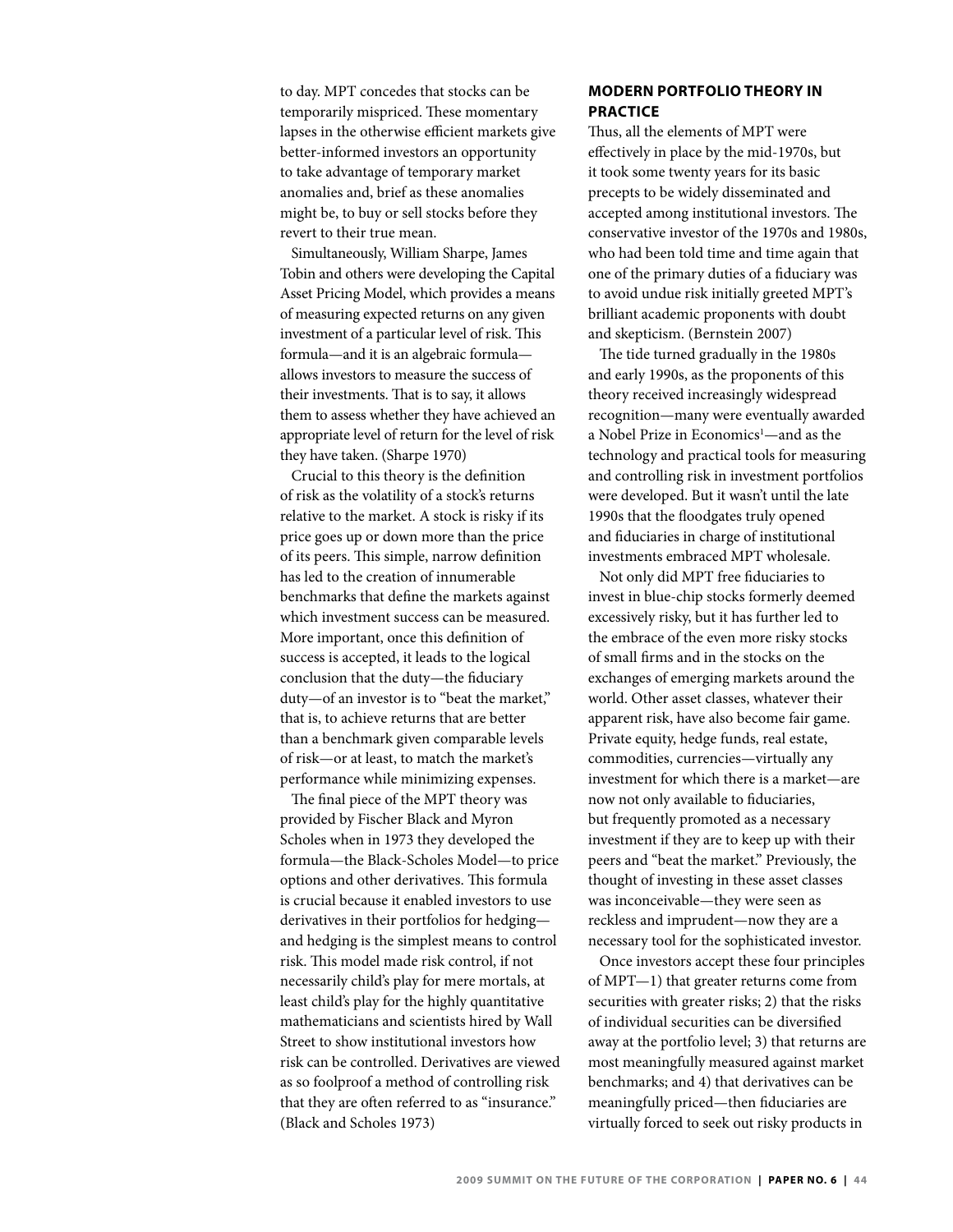to day. MPT concedes that stocks can be temporarily mispriced. These momentary lapses in the otherwise efficient markets give better-informed investors an opportunity to take advantage of temporary market anomalies and, brief as these anomalies might be, to buy or sell stocks before they revert to their true mean.

Simultaneously, William Sharpe, James Tobin and others were developing the Capital Asset Pricing Model, which provides a means of measuring expected returns on any given investment of a particular level of risk. This formula—and it is an algebraic formula allows investors to measure the success of their investments. That is to say, it allows them to assess whether they have achieved an appropriate level of return for the level of risk they have taken. (Sharpe 1970)

Crucial to this theory is the definition of risk as the volatility of a stock's returns relative to the market. A stock is risky if its price goes up or down more than the price of its peers. This simple, narrow definition has led to the creation of innumerable benchmarks that define the markets against which investment success can be measured. More important, once this definition of success is accepted, it leads to the logical conclusion that the duty—the fiduciary duty—of an investor is to "beat the market," that is, to achieve returns that are better than a benchmark given comparable levels of risk—or at least, to match the market's performance while minimizing expenses.

The final piece of the MPT theory was provided by Fischer Black and Myron Scholes when in 1973 they developed the formula—the Black-Scholes Model—to price options and other derivatives. This formula is crucial because it enabled investors to use derivatives in their portfolios for hedging and hedging is the simplest means to control risk. This model made risk control, if not necessarily child's play for mere mortals, at least child's play for the highly quantitative mathematicians and scientists hired by Wall Street to show institutional investors how risk can be controlled. Derivatives are viewed as so foolproof a method of controlling risk that they are often referred to as "insurance." (Black and Scholes 1973)

# **Modern Portfolio Theory in Practice**

Thus, all the elements of MPT were effectively in place by the mid-1970s, but it took some twenty years for its basic precepts to be widely disseminated and accepted among institutional investors. The conservative investor of the 1970s and 1980s, who had been told time and time again that one of the primary duties of a fiduciary was to avoid undue risk initially greeted MPT's brilliant academic proponents with doubt and skepticism. (Bernstein 2007)

The tide turned gradually in the 1980s and early 1990s, as the proponents of this theory received increasingly widespread recognition—many were eventually awarded a Nobel Prize in Economics<sup>1</sup>—and as the technology and practical tools for measuring and controlling risk in investment portfolios were developed. But it wasn't until the late 1990s that the floodgates truly opened and fiduciaries in charge of institutional investments embraced MPT wholesale.

Not only did MPT free fiduciaries to invest in blue-chip stocks formerly deemed excessively risky, but it has further led to the embrace of the even more risky stocks of small firms and in the stocks on the exchanges of emerging markets around the world. Other asset classes, whatever their apparent risk, have also become fair game. Private equity, hedge funds, real estate, commodities, currencies—virtually any investment for which there is a market—are now not only available to fiduciaries, but frequently promoted as a necessary investment if they are to keep up with their peers and "beat the market." Previously, the thought of investing in these asset classes was inconceivable—they were seen as reckless and imprudent—now they are a necessary tool for the sophisticated investor.

Once investors accept these four principles of MPT—1) that greater returns come from securities with greater risks; 2) that the risks of individual securities can be diversified away at the portfolio level; 3) that returns are most meaningfully measured against market benchmarks; and 4) that derivatives can be meaningfully priced—then fiduciaries are virtually forced to seek out risky products in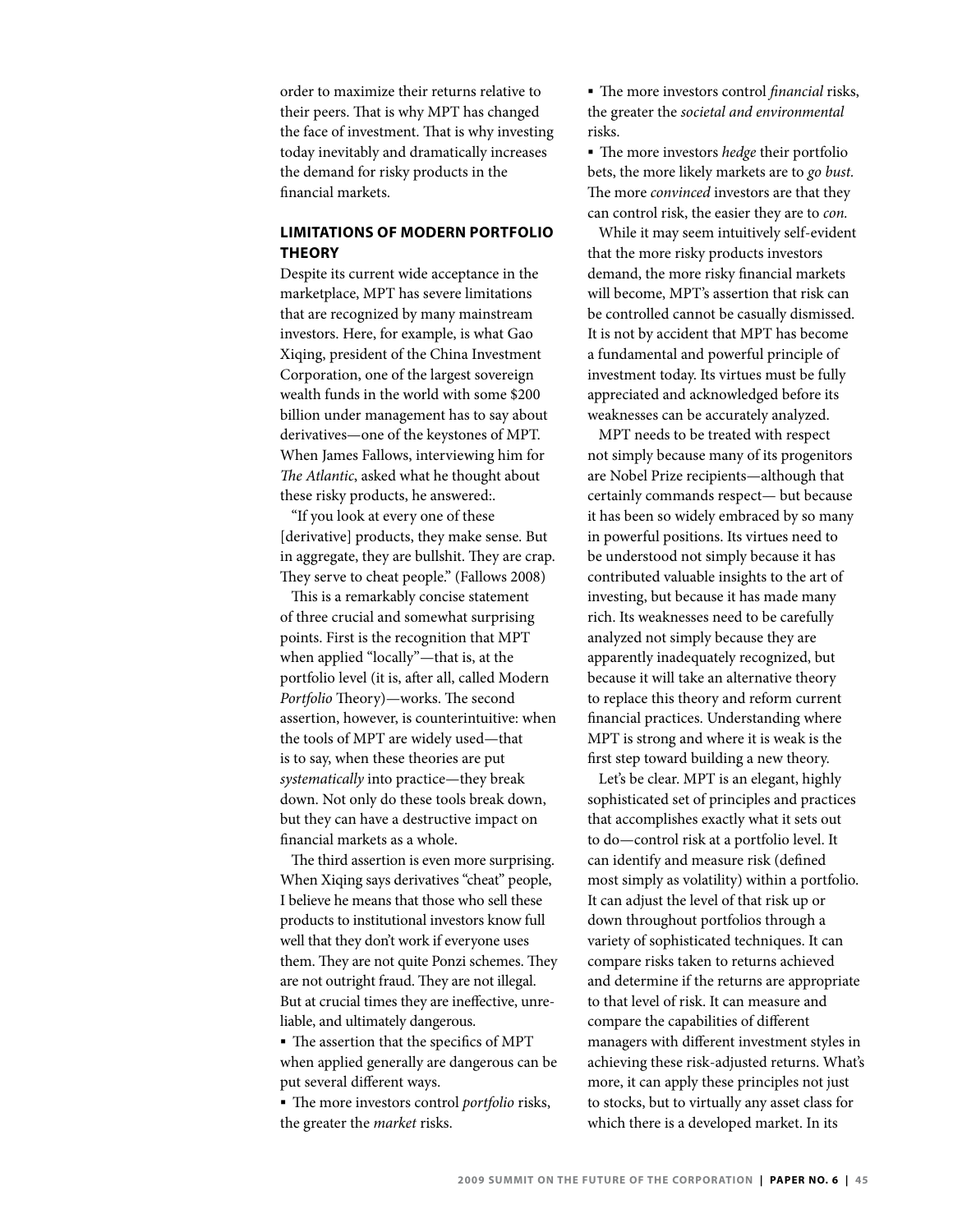order to maximize their returns relative to their peers. That is why MPT has changed the face of investment. That is why investing today inevitably and dramatically increases the demand for risky products in the financial markets.

# **Limitations of Modern Portfolio Theory**

Despite its current wide acceptance in the marketplace, MPT has severe limitations that are recognized by many mainstream investors. Here, for example, is what Gao Xiqing, president of the China Investment Corporation, one of the largest sovereign wealth funds in the world with some \$200 billion under management has to say about derivatives—one of the keystones of MPT. When James Fallows, interviewing him for *The Atlantic*, asked what he thought about these risky products, he answered:.

"If you look at every one of these [derivative] products, they make sense. But in aggregate, they are bullshit. They are crap. They serve to cheat people." (Fallows 2008)

This is a remarkably concise statement of three crucial and somewhat surprising points. First is the recognition that MPT when applied "locally"—that is, at the portfolio level (it is, after all, called Modern *Portfolio* Theory)—works. The second assertion, however, is counterintuitive: when the tools of MPT are widely used—that is to say, when these theories are put *systematically* into practice—they break down. Not only do these tools break down, but they can have a destructive impact on financial markets as a whole.

The third assertion is even more surprising. When Xiqing says derivatives "cheat" people, I believe he means that those who sell these products to institutional investors know full well that they don't work if everyone uses them. They are not quite Ponzi schemes. They are not outright fraud. They are not illegal. But at crucial times they are ineffective, unreliable, and ultimately dangerous.

 The assertion that the specifics of MPT when applied generally are dangerous can be put several different ways.

 The more investors control *portfolio* risks, the greater the *market* risks.

 The more investors control *financial* risks, the greater the *societal and environmental* risks.

 The more investors *hedge* their portfolio bets, the more likely markets are to *go bust.* The more *convinced* investors are that they can control risk, the easier they are to *con.*

While it may seem intuitively self-evident that the more risky products investors demand, the more risky financial markets will become, MPT's assertion that risk can be controlled cannot be casually dismissed. It is not by accident that MPT has become a fundamental and powerful principle of investment today. Its virtues must be fully appreciated and acknowledged before its weaknesses can be accurately analyzed.

MPT needs to be treated with respect not simply because many of its progenitors are Nobel Prize recipients—although that certainly commands respect— but because it has been so widely embraced by so many in powerful positions. Its virtues need to be understood not simply because it has contributed valuable insights to the art of investing, but because it has made many rich. Its weaknesses need to be carefully analyzed not simply because they are apparently inadequately recognized, but because it will take an alternative theory to replace this theory and reform current financial practices. Understanding where MPT is strong and where it is weak is the first step toward building a new theory.

Let's be clear. MPT is an elegant, highly sophisticated set of principles and practices that accomplishes exactly what it sets out to do—control risk at a portfolio level. It can identify and measure risk (defined most simply as volatility) within a portfolio. It can adjust the level of that risk up or down throughout portfolios through a variety of sophisticated techniques. It can compare risks taken to returns achieved and determine if the returns are appropriate to that level of risk. It can measure and compare the capabilities of different managers with different investment styles in achieving these risk-adjusted returns. What's more, it can apply these principles not just to stocks, but to virtually any asset class for which there is a developed market. In its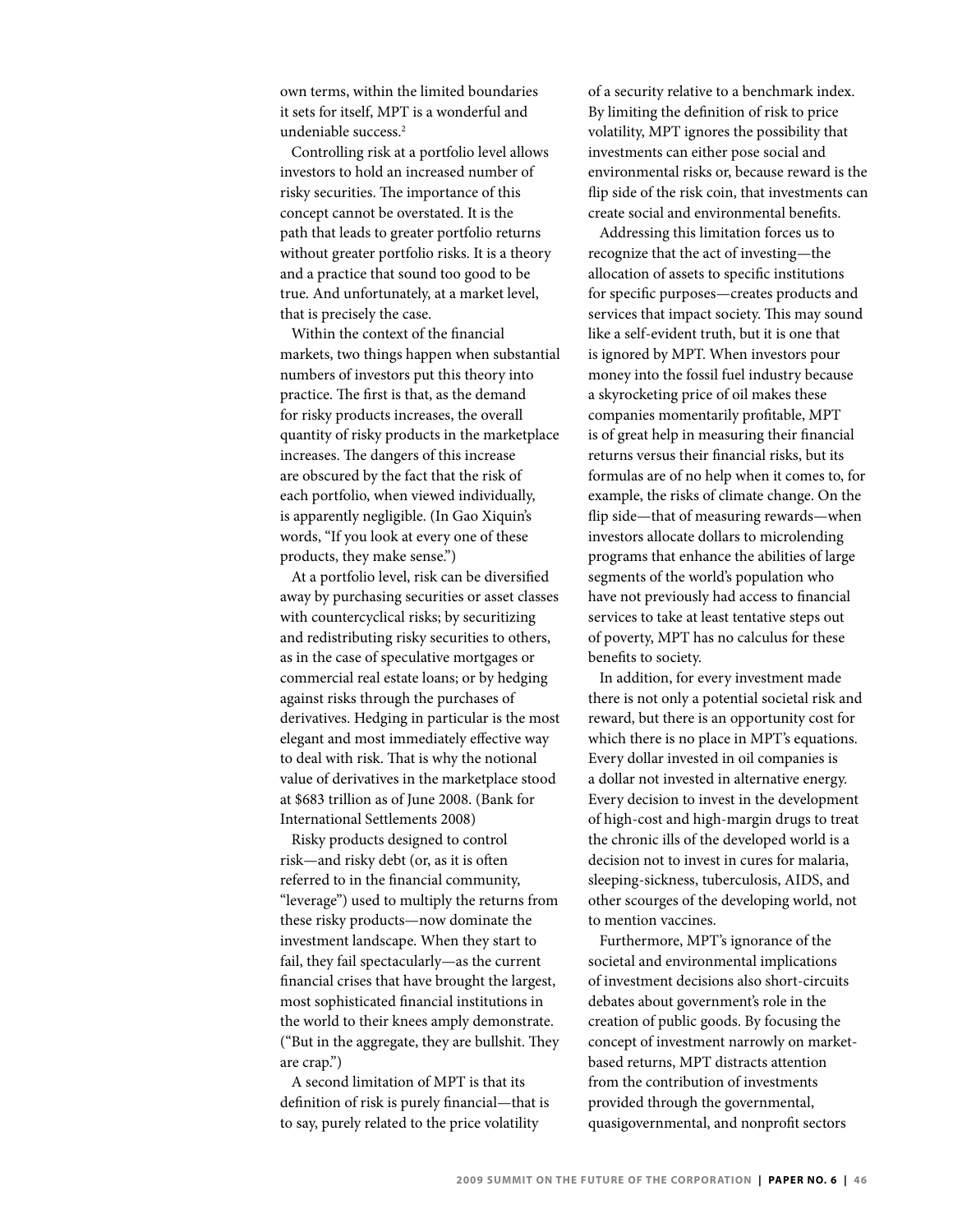own terms, within the limited boundaries it sets for itself, MPT is a wonderful and undeniable success.2

Controlling risk at a portfolio level allows investors to hold an increased number of risky securities. The importance of this concept cannot be overstated. It is the path that leads to greater portfolio returns without greater portfolio risks. It is a theory and a practice that sound too good to be true. And unfortunately, at a market level, that is precisely the case.

Within the context of the financial markets, two things happen when substantial numbers of investors put this theory into practice. The first is that, as the demand for risky products increases, the overall quantity of risky products in the marketplace increases. The dangers of this increase are obscured by the fact that the risk of each portfolio, when viewed individually, is apparently negligible. (In Gao Xiquin's words, "If you look at every one of these products, they make sense.")

At a portfolio level, risk can be diversified away by purchasing securities or asset classes with countercyclical risks; by securitizing and redistributing risky securities to others, as in the case of speculative mortgages or commercial real estate loans; or by hedging against risks through the purchases of derivatives. Hedging in particular is the most elegant and most immediately effective way to deal with risk. That is why the notional value of derivatives in the marketplace stood at \$683 trillion as of June 2008. (Bank for International Settlements 2008)

Risky products designed to control risk—and risky debt (or, as it is often referred to in the financial community, "leverage") used to multiply the returns from these risky products—now dominate the investment landscape. When they start to fail, they fail spectacularly—as the current financial crises that have brought the largest, most sophisticated financial institutions in the world to their knees amply demonstrate. ("But in the aggregate, they are bullshit. They are crap.")

A second limitation of MPT is that its definition of risk is purely financial—that is to say, purely related to the price volatility

of a security relative to a benchmark index. By limiting the definition of risk to price volatility, MPT ignores the possibility that investments can either pose social and environmental risks or, because reward is the flip side of the risk coin, that investments can create social and environmental benefits.

Addressing this limitation forces us to recognize that the act of investing—the allocation of assets to specific institutions for specific purposes—creates products and services that impact society. This may sound like a self-evident truth, but it is one that is ignored by MPT. When investors pour money into the fossil fuel industry because a skyrocketing price of oil makes these companies momentarily profitable, MPT is of great help in measuring their financial returns versus their financial risks, but its formulas are of no help when it comes to, for example, the risks of climate change. On the flip side—that of measuring rewards—when investors allocate dollars to microlending programs that enhance the abilities of large segments of the world's population who have not previously had access to financial services to take at least tentative steps out of poverty, MPT has no calculus for these benefits to society.

In addition, for every investment made there is not only a potential societal risk and reward, but there is an opportunity cost for which there is no place in MPT's equations. Every dollar invested in oil companies is a dollar not invested in alternative energy. Every decision to invest in the development of high-cost and high-margin drugs to treat the chronic ills of the developed world is a decision not to invest in cures for malaria, sleeping-sickness, tuberculosis, AIDS, and other scourges of the developing world, not to mention vaccines.

Furthermore, MPT's ignorance of the societal and environmental implications of investment decisions also short-circuits debates about government's role in the creation of public goods. By focusing the concept of investment narrowly on marketbased returns, MPT distracts attention from the contribution of investments provided through the governmental, quasigovernmental, and nonprofit sectors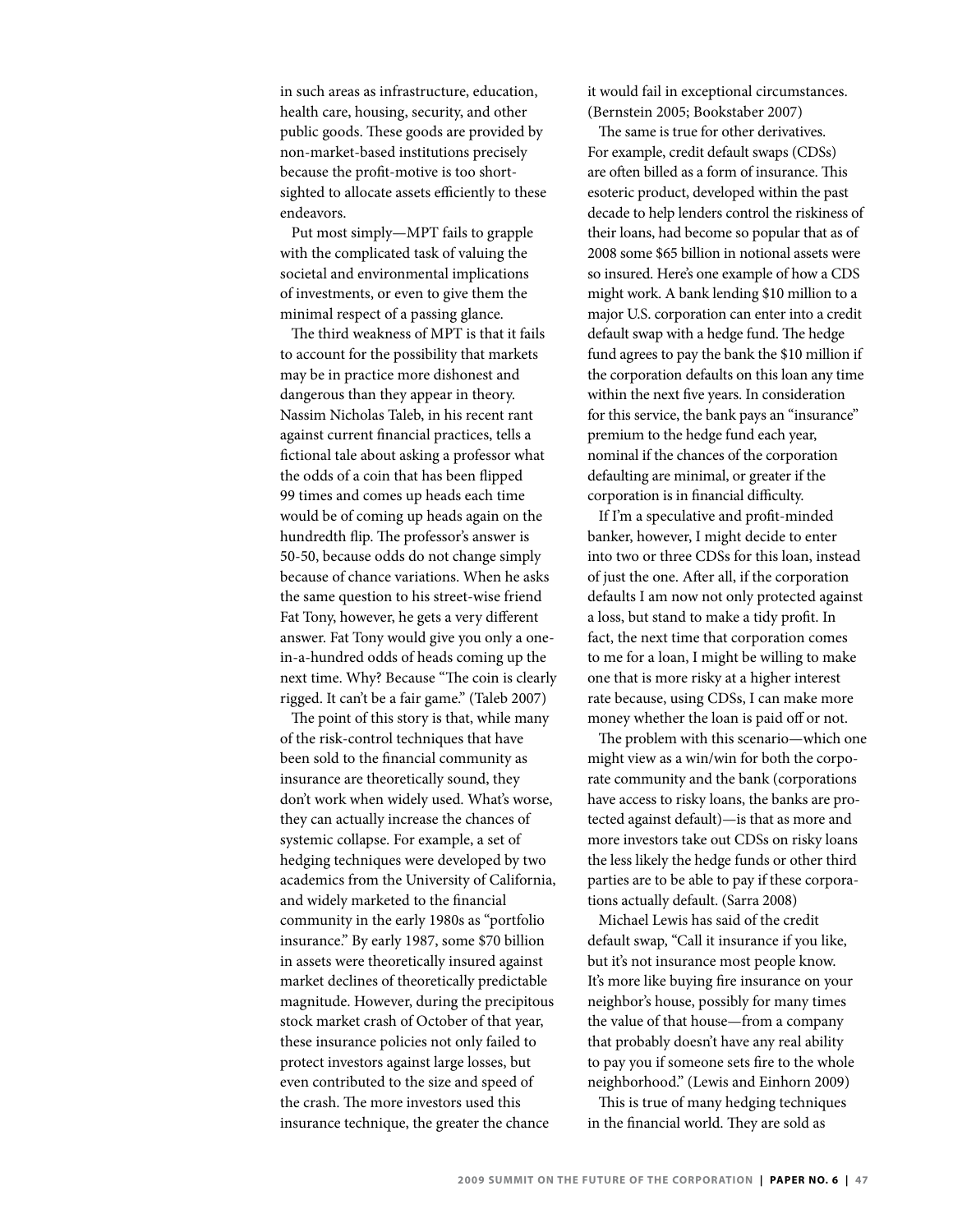in such areas as infrastructure, education, health care, housing, security, and other public goods. These goods are provided by non-market-based institutions precisely because the profit-motive is too shortsighted to allocate assets efficiently to these endeavors.

Put most simply—MPT fails to grapple with the complicated task of valuing the societal and environmental implications of investments, or even to give them the minimal respect of a passing glance.

The third weakness of MPT is that it fails to account for the possibility that markets may be in practice more dishonest and dangerous than they appear in theory. Nassim Nicholas Taleb, in his recent rant against current financial practices, tells a fictional tale about asking a professor what the odds of a coin that has been flipped 99 times and comes up heads each time would be of coming up heads again on the hundredth flip. The professor's answer is 50-50, because odds do not change simply because of chance variations. When he asks the same question to his street-wise friend Fat Tony, however, he gets a very different answer. Fat Tony would give you only a onein-a-hundred odds of heads coming up the next time. Why? Because "The coin is clearly rigged. It can't be a fair game." (Taleb 2007)

The point of this story is that, while many of the risk-control techniques that have been sold to the financial community as insurance are theoretically sound, they don't work when widely used. What's worse, they can actually increase the chances of systemic collapse. For example, a set of hedging techniques were developed by two academics from the University of California, and widely marketed to the financial community in the early 1980s as "portfolio insurance." By early 1987, some \$70 billion in assets were theoretically insured against market declines of theoretically predictable magnitude. However, during the precipitous stock market crash of October of that year, these insurance policies not only failed to protect investors against large losses, but even contributed to the size and speed of the crash. The more investors used this insurance technique, the greater the chance

it would fail in exceptional circumstances. (Bernstein 2005; Bookstaber 2007)

The same is true for other derivatives. For example, credit default swaps (CDSs) are often billed as a form of insurance. This esoteric product, developed within the past decade to help lenders control the riskiness of their loans, had become so popular that as of 2008 some \$65 billion in notional assets were so insured. Here's one example of how a CDS might work. A bank lending \$10 million to a major U.S. corporation can enter into a credit default swap with a hedge fund. The hedge fund agrees to pay the bank the \$10 million if the corporation defaults on this loan any time within the next five years. In consideration for this service, the bank pays an "insurance" premium to the hedge fund each year, nominal if the chances of the corporation defaulting are minimal, or greater if the corporation is in financial difficulty.

If I'm a speculative and profit-minded banker, however, I might decide to enter into two or three CDSs for this loan, instead of just the one. After all, if the corporation defaults I am now not only protected against a loss, but stand to make a tidy profit. In fact, the next time that corporation comes to me for a loan, I might be willing to make one that is more risky at a higher interest rate because, using CDSs, I can make more money whether the loan is paid off or not.

The problem with this scenario—which one might view as a win/win for both the corporate community and the bank (corporations have access to risky loans, the banks are protected against default)—is that as more and more investors take out CDSs on risky loans the less likely the hedge funds or other third parties are to be able to pay if these corporations actually default. (Sarra 2008)

Michael Lewis has said of the credit default swap, "Call it insurance if you like, but it's not insurance most people know. It's more like buying fire insurance on your neighbor's house, possibly for many times the value of that house—from a company that probably doesn't have any real ability to pay you if someone sets fire to the whole neighborhood." (Lewis and Einhorn 2009)

This is true of many hedging techniques in the financial world. They are sold as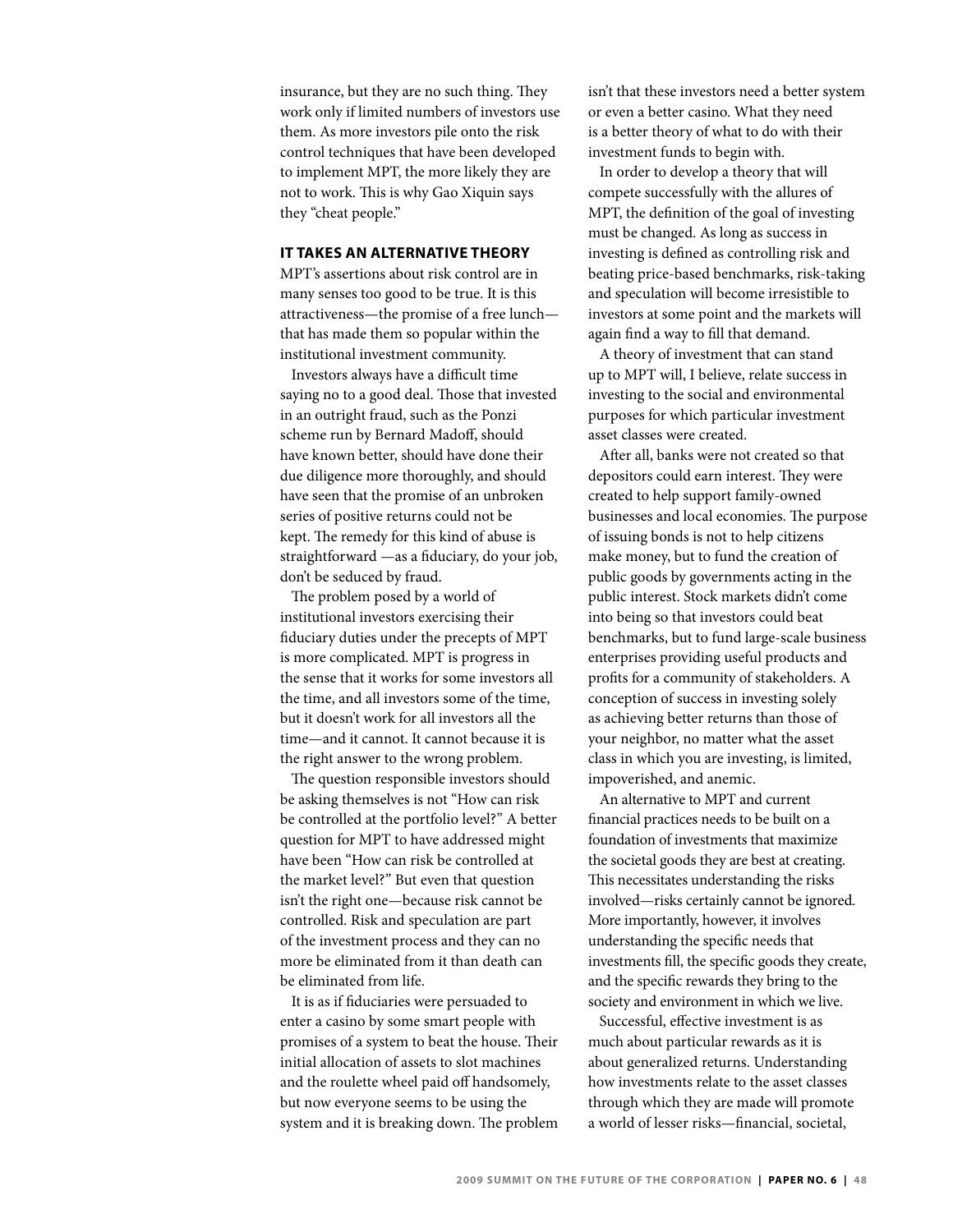insurance, but they are no such thing. They work only if limited numbers of investors use them. As more investors pile onto the risk control techniques that have been developed to implement MPT, the more likely they are not to work. This is why Gao Xiquin says they "cheat people."

### **It Takes an Alternative Theory**

MPT's assertions about risk control are in many senses too good to be true. It is this attractiveness—the promise of a free lunch that has made them so popular within the institutional investment community.

Investors always have a difficult time saying no to a good deal. Those that invested in an outright fraud, such as the Ponzi scheme run by Bernard Madoff, should have known better, should have done their due diligence more thoroughly, and should have seen that the promise of an unbroken series of positive returns could not be kept. The remedy for this kind of abuse is straightforward —as a fiduciary, do your job, don't be seduced by fraud.

The problem posed by a world of institutional investors exercising their fiduciary duties under the precepts of MPT is more complicated. MPT is progress in the sense that it works for some investors all the time, and all investors some of the time, but it doesn't work for all investors all the time—and it cannot. It cannot because it is the right answer to the wrong problem.

The question responsible investors should be asking themselves is not "How can risk be controlled at the portfolio level?" A better question for MPT to have addressed might have been "How can risk be controlled at the market level?" But even that question isn't the right one—because risk cannot be controlled. Risk and speculation are part of the investment process and they can no more be eliminated from it than death can be eliminated from life.

It is as if fiduciaries were persuaded to enter a casino by some smart people with promises of a system to beat the house. Their initial allocation of assets to slot machines and the roulette wheel paid off handsomely, but now everyone seems to be using the system and it is breaking down. The problem isn't that these investors need a better system or even a better casino. What they need is a better theory of what to do with their investment funds to begin with.

In order to develop a theory that will compete successfully with the allures of MPT, the definition of the goal of investing must be changed. As long as success in investing is defined as controlling risk and beating price-based benchmarks, risk-taking and speculation will become irresistible to investors at some point and the markets will again find a way to fill that demand.

A theory of investment that can stand up to MPT will, I believe, relate success in investing to the social and environmental purposes for which particular investment asset classes were created.

After all, banks were not created so that depositors could earn interest. They were created to help support family-owned businesses and local economies. The purpose of issuing bonds is not to help citizens make money, but to fund the creation of public goods by governments acting in the public interest. Stock markets didn't come into being so that investors could beat benchmarks, but to fund large-scale business enterprises providing useful products and profits for a community of stakeholders. A conception of success in investing solely as achieving better returns than those of your neighbor, no matter what the asset class in which you are investing, is limited, impoverished, and anemic.

An alternative to MPT and current financial practices needs to be built on a foundation of investments that maximize the societal goods they are best at creating. This necessitates understanding the risks involved—risks certainly cannot be ignored. More importantly, however, it involves understanding the specific needs that investments fill, the specific goods they create, and the specific rewards they bring to the society and environment in which we live.

Successful, effective investment is as much about particular rewards as it is about generalized returns. Understanding how investments relate to the asset classes through which they are made will promote a world of lesser risks—financial, societal,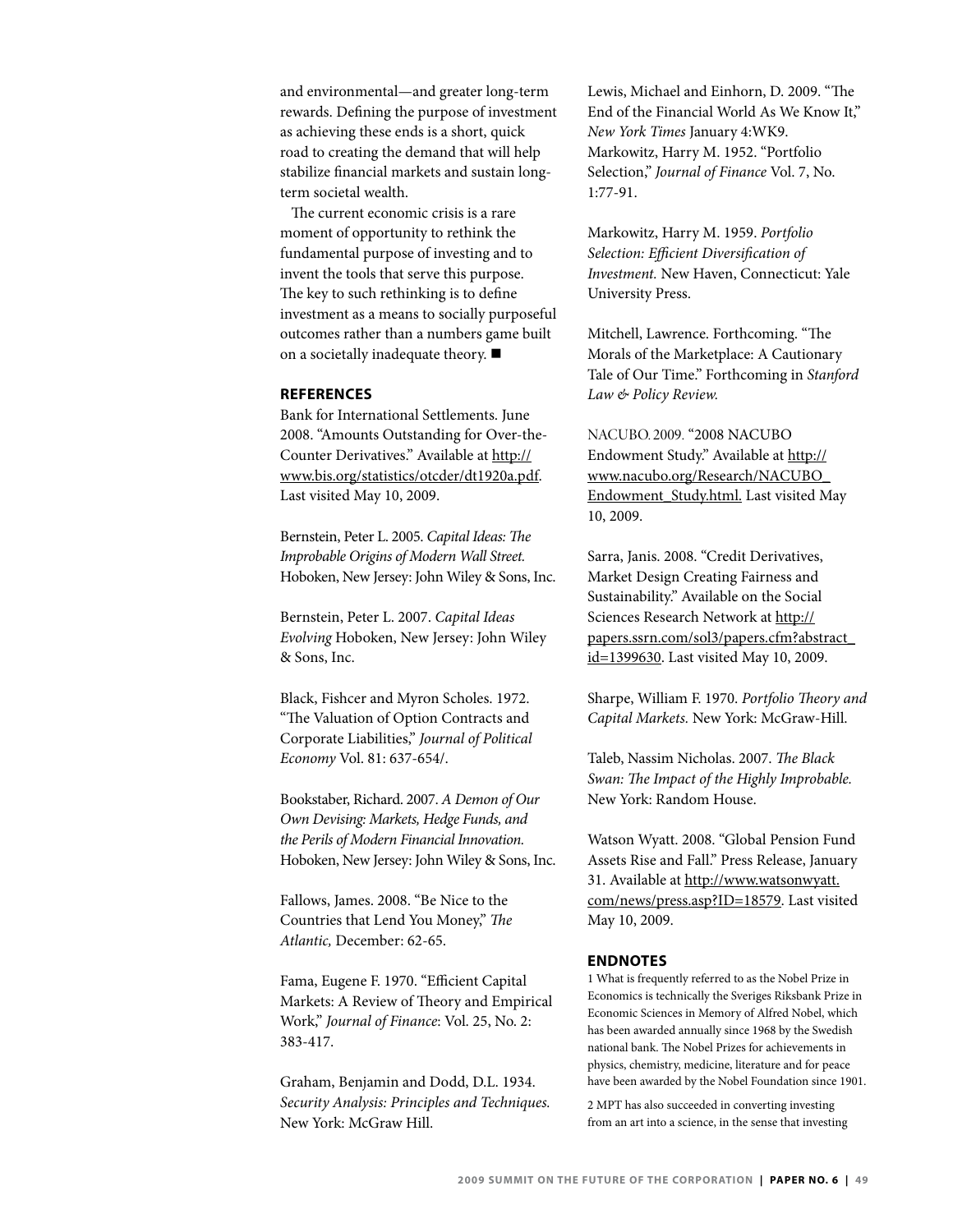and environmental—and greater long-term rewards. Defining the purpose of investment as achieving these ends is a short, quick road to creating the demand that will help stabilize financial markets and sustain longterm societal wealth.

The current economic crisis is a rare moment of opportunity to rethink the fundamental purpose of investing and to invent the tools that serve this purpose. The key to such rethinking is to define investment as a means to socially purposeful outcomes rather than a numbers game built on a societally inadequate theory.  $\blacksquare$ 

### **References**

Bank for International Settlements. June 2008. "Amounts Outstanding for Over-the-Counter Derivatives." Available at [http://](http://www.bis.org/statistics/otcder/dt1920a.pdf) [www.bis.org/statistics/otcder/dt1920a.pdf](http://www.bis.org/statistics/otcder/dt1920a.pdf). Last visited May 10, 2009.

Bernstein, Peter L. 2005. *Capital Ideas: The Improbable Origins of Modern Wall Street.*  Hoboken, New Jersey: John Wiley & Sons, Inc.

Bernstein, Peter L. 2007. *Capital Ideas Evolving* Hoboken, New Jersey: John Wiley & Sons, Inc.

Black, Fishcer and Myron Scholes. 1972. "The Valuation of Option Contracts and Corporate Liabilities," *Journal of Political Economy* Vol. 81: 637-654/.

Bookstaber, Richard. 2007. *A Demon of Our Own Devising: Markets, Hedge Funds, and the Perils of Modern Financial Innovation.*  Hoboken, New Jersey: John Wiley & Sons, Inc.

Fallows, James. 2008. "Be Nice to the Countries that Lend You Money," *The Atlantic,* December: 62-65.

Fama, Eugene F. 1970. "Efficient Capital Markets: A Review of Theory and Empirical Work," *Journal of Finance*: Vol. 25, No. 2: 383-417.

Graham, Benjamin and Dodd, D.L. 1934. *Security Analysis: Principles and Techniques.*  New York: McGraw Hill.

Lewis, Michael and Einhorn, D. 2009. "The End of the Financial World As We Know It," *New York Times* January 4:WK9. Markowitz, Harry M. 1952. "Portfolio Selection," *Journal of Finance* Vol. 7, No. 1:77-91.

Markowitz, Harry M. 1959. *Portfolio Selection: Efficient Diversification of Investment.* New Haven, Connecticut: Yale University Press.

Mitchell, Lawrence. Forthcoming. "The Morals of the Marketplace: A Cautionary Tale of Our Time." Forthcoming in *Stanford Law & Policy Review.*

NACUBO. 2009. "2008 NACUBO Endowment Study." Available at [http://](http://www.nacubo.org/Research/NACUBO_Endowment_Study.html) [www.nacubo.org/Research/NACUBO\\_](http://www.nacubo.org/Research/NACUBO_Endowment_Study.html) [Endowment\\_Study.html.](http://www.nacubo.org/Research/NACUBO_Endowment_Study.html) Last visited May 10, 2009.

Sarra, Janis. 2008. "Credit Derivatives, Market Design Creating Fairness and Sustainability." Available on the Social Sciences Research Network at [http://](http://papers.ssrn.com/sol3/papers.cfm?abstract_id=1399630) [papers.ssrn.com/sol3/papers.cfm?abstract\\_](http://papers.ssrn.com/sol3/papers.cfm?abstract_id=1399630) [id=1399630.](http://papers.ssrn.com/sol3/papers.cfm?abstract_id=1399630) Last visited May 10, 2009.

Sharpe, William F. 1970. *Portfolio Theory and Capital Markets.* New York: McGraw-Hill.

Taleb, Nassim Nicholas. 2007. *The Black Swan: The Impact of the Highly Improbable.*  New York: Random House.

Watson Wyatt. 2008. "Global Pension Fund Assets Rise and Fall." Press Release, January 31. Available at [http://www.watsonwyatt.](http://www.watsonwyatt.com/news/press.asp?ID=18579) [com/news/press.asp?ID=18579.](http://www.watsonwyatt.com/news/press.asp?ID=18579) Last visited May 10, 2009.

### **ENDNOTES**

1 What is frequently referred to as the Nobel Prize in Economics is technically the Sveriges Riksbank Prize in Economic Sciences in Memory of Alfred Nobel, which has been awarded annually since 1968 by the Swedish national bank. The Nobel Prizes for achievements in physics, chemistry, medicine, literature and for peace have been awarded by the Nobel Foundation since 1901.

2 MPT has also succeeded in converting investing from an art into a science, in the sense that investing